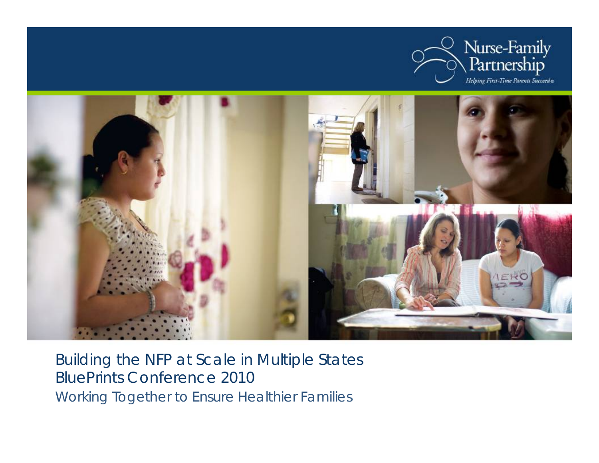



Building the NFP at Scale in Multiple States BluePrints Conference 2010 Working Together to Ensure Healthier Families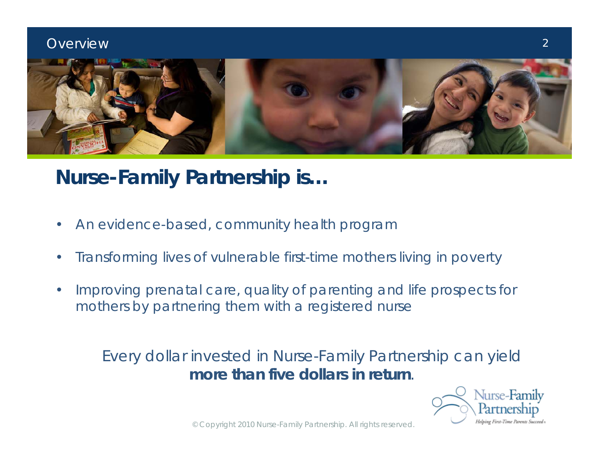

# **Nurse-Family Partnership is…**

- An evidence-based, community health program
- Transforming lives of vulnerable first-time mothers living in poverty
- Improving prenatal care, quality of parenting and life prospects for mothers by partnering them with a registered nurse

### Every dollar invested in Nurse-Family Partnership can yield **more than five dollars in return**.

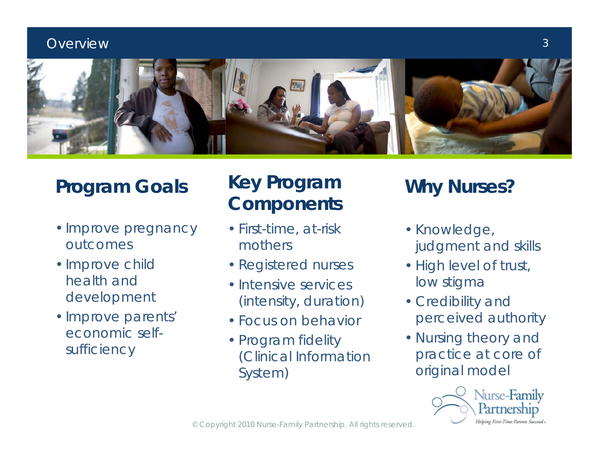

# **Program Goals**

- •Improve pregnancy outcomes
- •Improve child health and development
- •Improve parents' economic selfsufficiency

# **Key Program Components Why Nurses?**

- First-time, at-risk mothers
- Registered nurses
- Intensive services (intensity, duration)
- Focus on behavior
- Program fidelity (Clinical Information System)

- Knowledge, judgment and skills
- High level of trust, low stigma
- Credibility and perceived authority
- Nursing theory and practice at core of original model

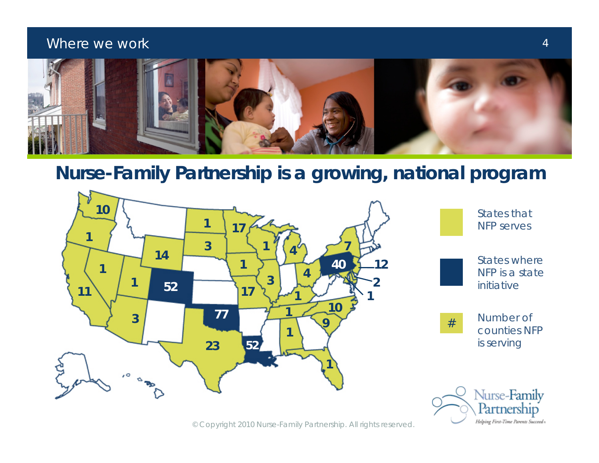#### Where we work



### **Nurse-Family Partnership is a growing, national program**



© Copyright 2010 Nurse-Family Partnership. All rights reserved.

Helping First-Time Parents Succeed .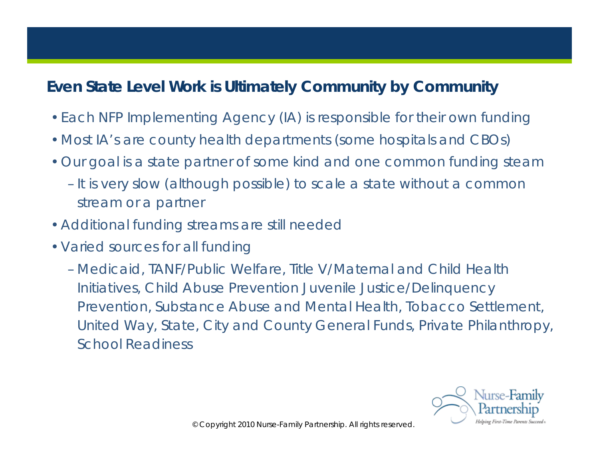### **Even State Level Work is Ultimately Community by Community**

- •Each NFP Implementing Agency (IA) is responsible for their own funding
- •Most IA's are county health departments (some hospitals and CBOs)
- •Our goal is a state partner of some kind and one common funding steam
	- It is very slow (although possible) to scale a state without a common stream or a partner
- •Additional funding streams are still needed
- •Varied sources for all funding
	- Medicaid, TANF/Public Welfare, Title V/Maternal and Child Health Initiatives, Child Abuse Prevention Juvenile Justice/Delinquency Prevention, Substance Abuse and Mental Health, Tobacco Settlement, United Way, State, City and County General Funds, Private Philanthropy, School Readiness

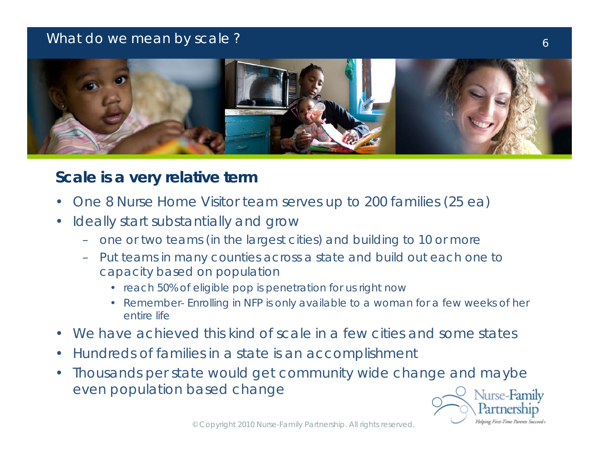#### What do we mean by scale ?



### **Scale is a** *very* **relative term**

- One 8 Nurse Home Visitor team serves up to 200 families (25 ea)
- Ideally start substantially and grow
	- one or two teams (in the largest cities) and building to 10 or more
	- Put teams in many counties across a state and build out each one to capacity based on population
		- reach 50% of eligible pop is penetration for us right now
		- Remember- Enrolling in NFP is only available to a woman for a few weeks of her entire life
- We have achieved this kind of scale in a few cities and some states
- Hundreds of families in a state is an accomplishment
- Thousands per state would get community wide change and maybe even population based change

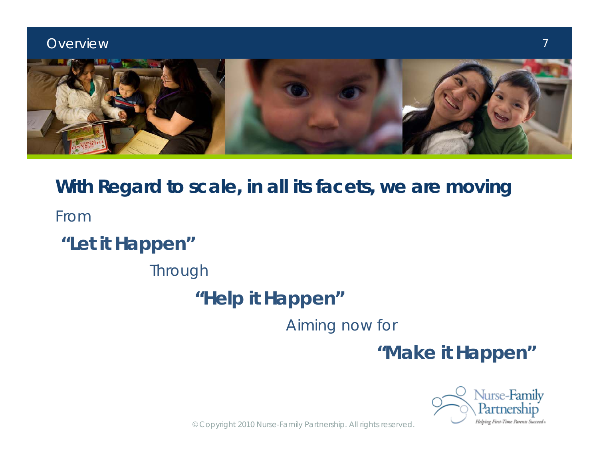

# **With Regard to scale, in all its facets, we are moving** *From*

# **"Let it Happen"**

*Through*

# **"Help it Happen"**

*Aiming now for*

**"Make it Happen"**



7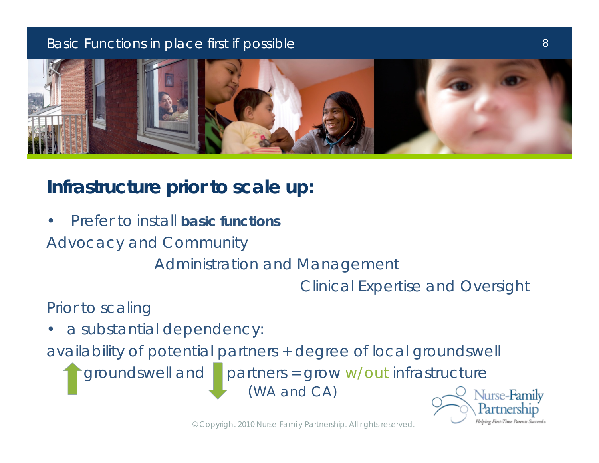#### Basic Functions in place first if possible



# **Infrastructure prior to scale up:**

• Prefer to install **basic functions**

Advocacy and Community

Administration and Management

Clinical Expertise and Oversight

### Prior to scaling

a substantial dependency:

availability of potential partners + degree of local groundswell

groundswell and partners = grow w/out infrastructure (WA and CA)

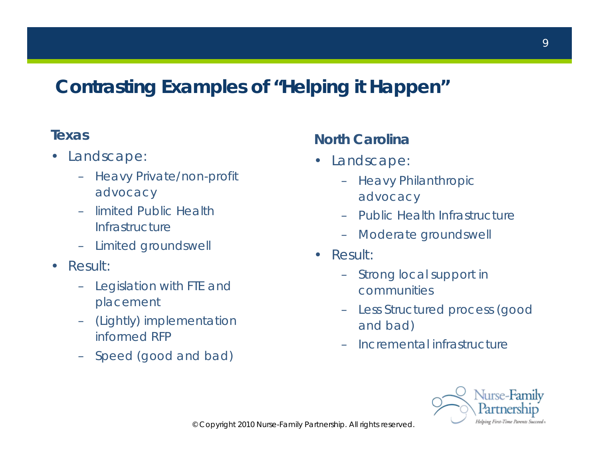# **Contrasting Examples of "Helping it Happen"**

#### **Texas**

- Landscape:
	- Heavy Private/non-profit advocacy
	- limited Public Health Infrastructure
	- Limited groundswell
- Result:
	- Legislation with FTE and placement
	- (Lightly) implementation informed RFP
	- Speed (good and bad)

#### **North Carolina**

- Landscape:
	- Heavy Philanthropic advocacy
	- Public Health Infrastructure
	- Moderate groundswell
- Result:
	- Strong local support in communities
	- Less Structured process (good and bad)
	- Incremental infrastructure

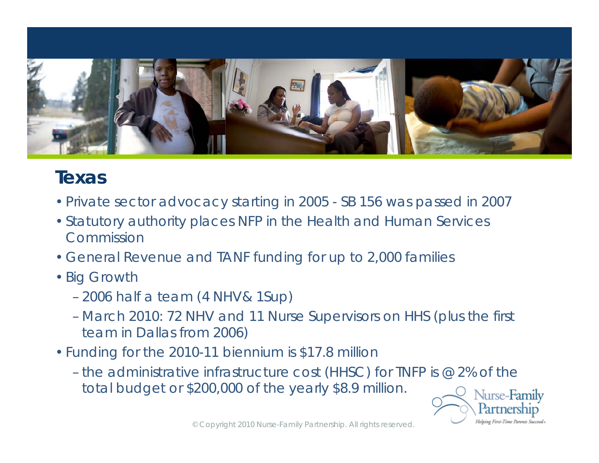

### **Texas**

- •Private sector advocacy starting in 2005 SB 156 was passed in 2007
- •Statutory authority places NFP in the Health and Human Services Commission
- •General Revenue and TANF funding for up to 2,000 families
- •Big Growth
	- 2006 half a team (4 NHV& 1Sup)
	- March 2010: 72 NHV and 11 Nurse Supervisors on HHS (plus the first team in Dallas from 2006)
- Funding for the 2010-11 biennium is \$17.8 million
	- the administrative infrastructure cost (HHSC) for TNFP is @ 2% of the total budget or \$200,000 of the yearly \$8.9 million.

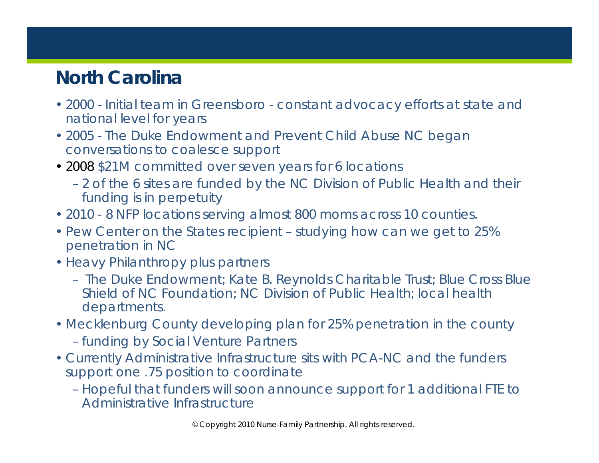# **North Carolina**

- 2000 Initial team in Greensboro constant advocacy efforts at state and national level for years
- 2005 The Duke Endowment and Prevent Child Abuse NC began conversations to coalesce support
- 2008 \$21M committed over seven years for 6 locations
	- 2 of the 6 sites are funded by the NC Division of Public Health and their funding is in perpetuity
- 2010 8 NFP locations serving almost 800 moms across 10 counties.
- Pew Center on the States recipient studying how can we get to 25% penetration in NC
- Heavy Philanthropy plus partners
	- The Duke Endowment; Kate B. Reynolds Charitable Trust; Blue Cross Blue Shield of NC Foundation; NC Division of Public Health; local health departments.
- Mecklenburg County developing plan for 25% penetration in the county – funding by Social Venture Partners
- Currently Administrative Infrastructure sits with PCA-NC and the funders support one .75 position to coordinate
	- Hopeful that funders will soon announce support for 1 additional FTE to Administrative Infrastructure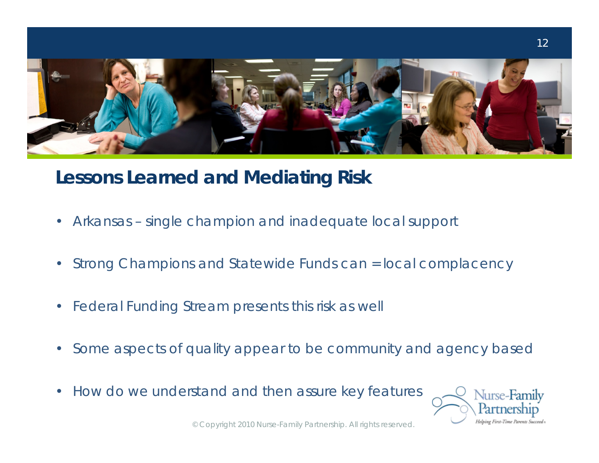

## **Lessons Learned and Mediating Risk**

- Arkansas single champion and inadequate local support
- Strong Champions and Statewide Funds can = local complacency
- Federal Funding Stream presents this risk as well
- Some aspects of quality appear to be community and agency based
- How do we understand and then assure key features

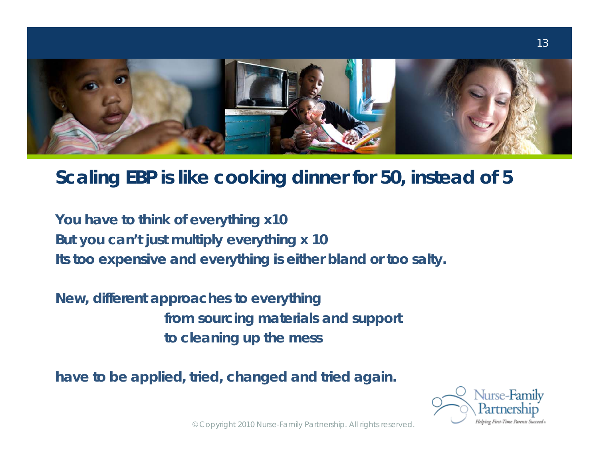

### **Scaling EBP is like cooking dinner for 50, instead of 5**

**You have to think of everything x10 But you can't just multiply everything x 10 Its too expensive and everything is either bland or too salty.**

**New, different approaches to everything from sourcing materials and support to cleaning up the mess** 

**have to be applied, tried, changed and tried again.**

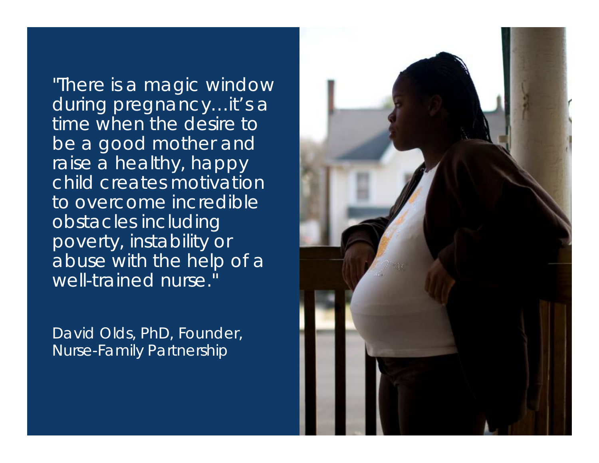"There is a magic window during pregnancy…it's a time when the desire to be a good mother and raise a healthy, happy child creates motivation to overcome incredible obstacles including poverty, instability or abuse with the help of a well-trained nurse."

David Olds, PhD, Founder, Nurse-Family Partnership